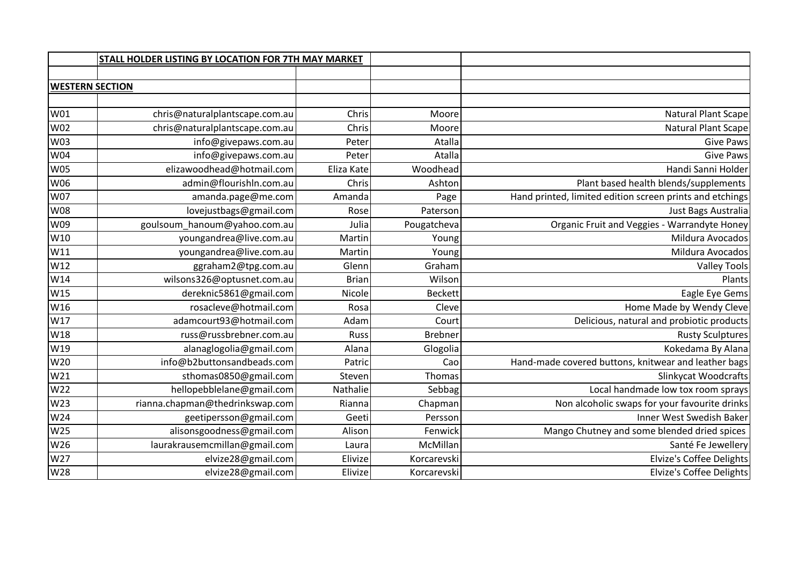|            | STALL HOLDER LISTING BY LOCATION FOR 7TH MAY MARKET |              |                |                                                          |
|------------|-----------------------------------------------------|--------------|----------------|----------------------------------------------------------|
|            |                                                     |              |                |                                                          |
|            | <b>WESTERN SECTION</b>                              |              |                |                                                          |
|            |                                                     |              |                |                                                          |
| W01        | chris@naturalplantscape.com.au                      | Chris        | Moore          | <b>Natural Plant Scape</b>                               |
| W02        | chris@naturalplantscape.com.au                      | Chris        | Moore          | <b>Natural Plant Scape</b>                               |
| W03        | info@givepaws.com.au                                | Peter        | Atalla         | <b>Give Paws</b>                                         |
| W04        | info@givepaws.com.au                                | Peter        | Atalla         | <b>Give Paws</b>                                         |
| <b>W05</b> | elizawoodhead@hotmail.com                           | Eliza Kate   | Woodhead       | Handi Sanni Holder                                       |
| W06        | admin@flourishln.com.au                             | Chris        | Ashton         | Plant based health blends/supplements                    |
| <b>W07</b> | amanda.page@me.com                                  | Amanda       | Page           | Hand printed, limited edition screen prints and etchings |
| <b>W08</b> | lovejustbags@gmail.com                              | Rose         | Paterson       | Just Bags Australia                                      |
| W09        | goulsoum_hanoum@yahoo.com.au                        | Julia        | Pougatcheva    | Organic Fruit and Veggies - Warrandyte Honey             |
| W10        | youngandrea@live.com.au                             | Martin       | Young          | Mildura Avocados                                         |
| W11        | youngandrea@live.com.au                             | Martin       | Young          | Mildura Avocados                                         |
| W12        | ggraham2@tpg.com.au                                 | Glenn        | Graham         | <b>Valley Tools</b>                                      |
| W14        | wilsons326@optusnet.com.au                          | <b>Brian</b> | Wilson         | Plants                                                   |
| W15        | dereknic5861@gmail.com                              | Nicole       | <b>Beckett</b> | Eagle Eye Gems                                           |
| W16        | rosacleve@hotmail.com                               | Rosa         | Cleve          | Home Made by Wendy Cleve                                 |
| W17        | adamcourt93@hotmail.com                             | Adam         | Court          | Delicious, natural and probiotic products                |
| W18        | russ@russbrebner.com.au                             | Russ         | <b>Brebner</b> | <b>Rusty Sculptures</b>                                  |
| W19        | alanaglogolia@gmail.com                             | Alana        | Glogolia       | Kokedama By Alana                                        |
| W20        | info@b2buttonsandbeads.com                          | Patric       | Cao            | Hand-made covered buttons, knitwear and leather bags     |
| W21        | sthomas0850@gmail.com                               | Steven       | Thomas         | Slinkycat Woodcrafts                                     |
| W22        | hellopebblelane@gmail.com                           | Nathalie     | Sebbag         | Local handmade low tox room sprays                       |
| W23        | rianna.chapman@thedrinkswap.com                     | Rianna       | Chapman        | Non alcoholic swaps for your favourite drinks            |
| W24        | geetipersson@gmail.com                              | Geeti        | Persson        | Inner West Swedish Baker                                 |
| W25        | alisonsgoodness@gmail.com                           | Alison       | Fenwick        | Mango Chutney and some blended dried spices              |
| W26        | laurakrausemcmillan@gmail.com                       | Laura        | McMillan       | Santé Fe Jewellery                                       |
| W27        | elvize28@gmail.com                                  | Elivize      | Korcarevski    | <b>Elvize's Coffee Delights</b>                          |
| W28        | elvize28@gmail.com                                  | Elivize      | Korcarevski    | Elvize's Coffee Delights                                 |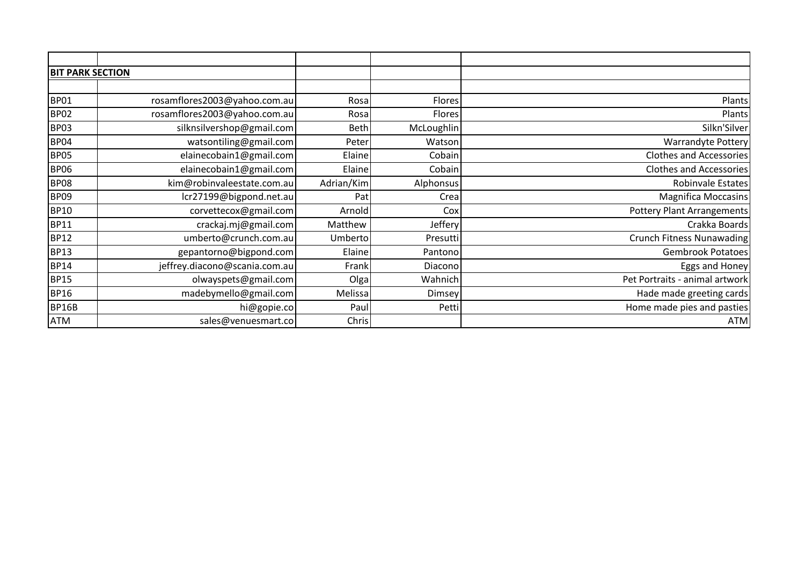| <b>BIT PARK SECTION</b> |                               |                |            |                                |
|-------------------------|-------------------------------|----------------|------------|--------------------------------|
|                         |                               |                |            |                                |
| <b>BP01</b>             | rosamflores2003@yahoo.com.au  | Rosa           | Flores     | Plants                         |
| <b>BP02</b>             | rosamflores2003@yahoo.com.au  | Rosa           | Flores     | Plants                         |
| <b>BP03</b>             | silknsilvershop@gmail.com     | <b>Beth</b>    | McLoughlin | Silkn'Silver                   |
| <b>BP04</b>             | watsontiling@gmail.com        | Peter          | Watson     | Warrandyte Pottery             |
| <b>BP05</b>             | elainecobain1@gmail.com       | Elaine         | Cobain     | Clothes and Accessories        |
| <b>BP06</b>             | elainecobain1@gmail.com       | Elaine         | Cobain     | <b>Clothes and Accessories</b> |
| <b>BP08</b>             | kim@robinvaleestate.com.au    | Adrian/Kim     | Alphonsus  | Robinvale Estates              |
| <b>BP09</b>             | lcr27199@bigpond.net.au       | Pat            | Crea       | Magnifica Moccasins            |
| <b>BP10</b>             | corvettecox@gmail.com         | Arnold         | Cox        | Pottery Plant Arrangements     |
| <b>BP11</b>             | crackaj.mj@gmail.com          | Matthew        | Jeffery    | Crakka Boards                  |
| <b>BP12</b>             | umberto@crunch.com.au         | Umberto        | Presutti   | Crunch Fitness Nunawading      |
| <b>BP13</b>             | gepantorno@bigpond.com        | Elaine         | Pantono    | <b>Gembrook Potatoes</b>       |
| <b>BP14</b>             | jeffrey.diacono@scania.com.au | Frank          | Diacono    | Eggs and Honey                 |
| <b>BP15</b>             | olwayspets@gmail.com          | O <sub>g</sub> | Wahnich    | Pet Portraits - animal artwork |
| <b>BP16</b>             | madebymello@gmail.com         | Melissa        | Dimsey     | Hade made greeting cards       |
| <b>BP16B</b>            | hi@gopie.co                   | Paul           | Petti      | Home made pies and pasties     |
| <b>ATM</b>              | sales@venuesmart.co           | Chris          |            | <b>ATM</b>                     |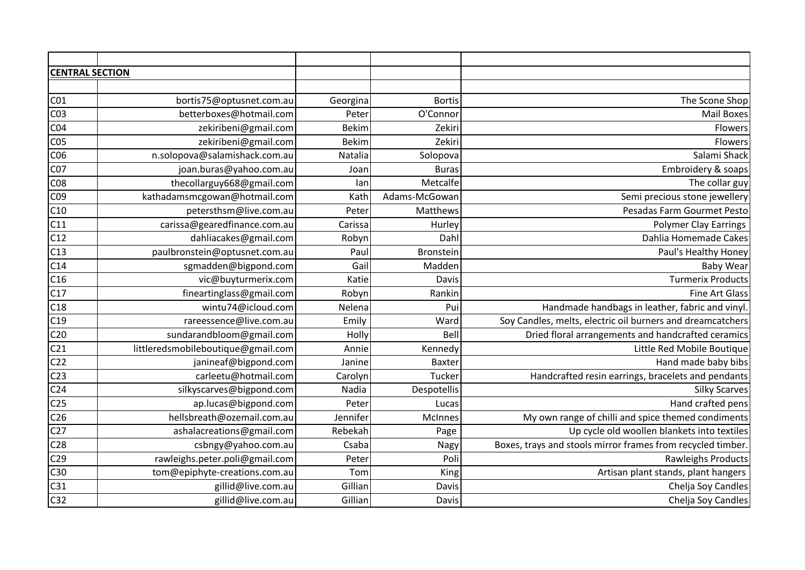| <b>CENTRAL SECTION</b> |                                    |              |               |                                                             |
|------------------------|------------------------------------|--------------|---------------|-------------------------------------------------------------|
|                        |                                    |              |               |                                                             |
| CO <sub>1</sub>        | bortis75@optusnet.com.au           | Georgina     | <b>Bortis</b> | The Scone Shop                                              |
| CO <sub>3</sub>        | betterboxes@hotmail.com            | Peter        | O'Connor      | <b>Mail Boxes</b>                                           |
| CO <sub>4</sub>        | zekiribeni@gmail.com               | <b>Bekim</b> | Zekiri        | Flowers                                                     |
| CO <sub>5</sub>        | zekiribeni@gmail.com               | <b>Bekim</b> | Zekiri        | Flowers                                                     |
| C06                    | n.solopova@salamishack.com.au      | Natalia      | Solopova      | Salami Shack                                                |
| C07                    | joan.buras@yahoo.com.au            | Joan         | <b>Buras</b>  | Embroidery & soaps                                          |
| <b>C08</b>             | thecollarguy668@gmail.com          | lan          | Metcalfe      | The collar guy                                              |
| C09                    | kathadamsmcgowan@hotmail.com       | Kath         | Adams-McGowan | Semi precious stone jewellery                               |
| C10                    | petersthsm@live.com.au             | Peter        | Matthews      | Pesadas Farm Gourmet Pesto                                  |
| C11                    | carissa@gearedfinance.com.au       | Carissa      | Hurley        | <b>Polymer Clay Earrings</b>                                |
| C12                    | dahliacakes@gmail.com              | Robyn        | Dahl          | Dahlia Homemade Cakes                                       |
| C13                    | paulbronstein@optusnet.com.au      | Paul         | Bronstein     | Paul's Healthy Honey                                        |
| C14                    | sgmadden@bigpond.com               | Gail         | Madden        | <b>Baby Wear</b>                                            |
| C16                    | vic@buyturmerix.com                | Katie        | Davis         | <b>Turmerix Products</b>                                    |
| C17                    | fineartinglass@gmail.com           | Robyn        | Rankin        | <b>Fine Art Glass</b>                                       |
| C18                    | wintu74@icloud.com                 | Nelena       | Pui           | Handmade handbags in leather, fabric and vinyl              |
| C19                    | rareessence@live.com.au            | Emily        | Ward          | Soy Candles, melts, electric oil burners and dreamcatchers  |
| C <sub>20</sub>        | sundarandbloom@gmail.com           | Holly        | Bell          | Dried floral arrangements and handcrafted ceramics          |
| C <sub>21</sub>        | littleredsmobileboutique@gmail.com | Annie        | Kennedy       | Little Red Mobile Boutique                                  |
| C <sub>22</sub>        | janineaf@bigpond.com               | Janine       | Baxter        | Hand made baby bibs                                         |
| C <sub>23</sub>        | carleetu@hotmail.com               | Carolyn      | Tucker        | Handcrafted resin earrings, bracelets and pendants          |
| C <sub>24</sub>        | silkyscarves@bigpond.com           | Nadia        | Despotellis   | <b>Silky Scarves</b>                                        |
| C <sub>25</sub>        | ap.lucas@bigpond.com               | Peter        | Lucas         | Hand crafted pens                                           |
| C <sub>26</sub>        | hellsbreath@ozemail.com.au         | Jennifer     | McInnes       | My own range of chilli and spice themed condiments          |
| C <sub>27</sub>        | ashalacreations@gmail.com          | Rebekah      | Page          | Up cycle old woollen blankets into textiles                 |
| C <sub>28</sub>        | csbngy@yahoo.com.au                | Csaba        | Nagy          | Boxes, trays and stools mirror frames from recycled timber. |
| C <sub>29</sub>        | rawleighs.peter.poli@gmail.com     | Peter        | Poli          | Rawleighs Products                                          |
| C30                    | tom@epiphyte-creations.com.au      | Tom          | King          | Artisan plant stands, plant hangers                         |
| C <sub>31</sub>        | gillid@live.com.au                 | Gillian      | Davis         | Chelja Soy Candles                                          |
| C <sub>32</sub>        | gillid@live.com.au                 | Gillian      | Davis         | Chelja Soy Candles                                          |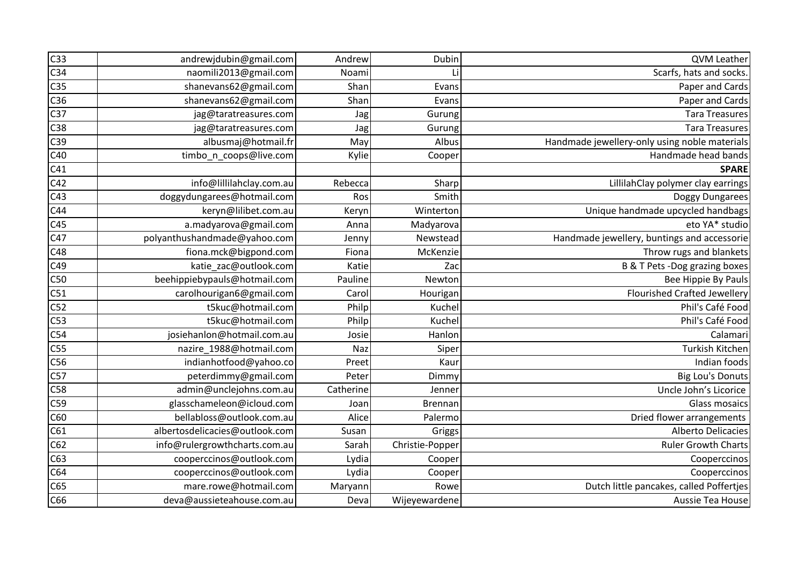| C <sub>33</sub> | andrewjdubin@gmail.com         | Andrew    | Dubin           | QVM Leather                                   |
|-----------------|--------------------------------|-----------|-----------------|-----------------------------------------------|
| C <sub>34</sub> | naomili2013@gmail.com          | Noami     | Li              | Scarfs, hats and socks                        |
| C <sub>35</sub> | shanevans62@gmail.com          | Shan      | Evans           | Paper and Cards                               |
| C36             | shanevans62@gmail.com          | Shan      | Evans           | Paper and Cards                               |
| C37             | jag@taratreasures.com          | Jag       | Gurung          | <b>Tara Treasures</b>                         |
| C38             | jag@taratreasures.com          | Jag       | Gurung          | <b>Tara Treasures</b>                         |
| C39             | albusmaj@hotmail.fr            | May       | Albus           | Handmade jewellery-only using noble materials |
| C40             | timbo_n_coops@live.com         | Kylie     | Cooper          | Handmade head bands                           |
| C41             |                                |           |                 | <b>SPARE</b>                                  |
| C42             | info@lillilahclay.com.au       | Rebecca   | Sharp           | LillilahClay polymer clay earrings            |
| C43             | doggydungarees@hotmail.com     | Ros       | Smith           | Doggy Dungarees                               |
| C44             | keryn@lilibet.com.au           | Keryn     | Winterton       | Unique handmade upcycled handbags             |
| C45             | a.madyarova@gmail.com          | Anna      | Madyarova       | eto YA* studio                                |
| C47             | polyanthushandmade@yahoo.com   | Jenny     | Newstead        | Handmade jewellery, buntings and accessorie   |
| C48             | fiona.mck@bigpond.com          | Fiona     | McKenzie        | Throw rugs and blankets                       |
| C49             | katie_zac@outlook.com          | Katie     | Zac             | B & T Pets -Dog grazing boxes                 |
| C50             | beehippiebypauls@hotmail.com   | Pauline   | Newton          | Bee Hippie By Pauls                           |
| C51             | carolhourigan6@gmail.com       | Carol     | Hourigan        | <b>Flourished Crafted Jewellery</b>           |
| C52             | t5kuc@hotmail.com              | Philp     | Kuchel          | Phil's Café Food                              |
| C53             | t5kuc@hotmail.com              | Philp     | Kuchel          | Phil's Café Food                              |
| C54             | josiehanlon@hotmail.com.au     | Josie     | Hanlon          | Calamari                                      |
| C55             | nazire_1988@hotmail.com        | Naz       | Siper           | Turkish Kitchen                               |
| C56             | indianhotfood@yahoo.co         | Preet     | Kaur            | Indian foods                                  |
| C57             | peterdimmy@gmail.com           | Peter     | Dimmy           | <b>Big Lou's Donuts</b>                       |
| C58             | admin@unclejohns.com.au        | Catherine | Jenner          | Uncle John's Licorice                         |
| C59             | glasschameleon@icloud.com      | Joan      | Brennan         | Glass mosaics                                 |
| C60             | bellabloss@outlook.com.au      | Alice     | Palermo         | Dried flower arrangements                     |
| C61             | albertosdelicacies@outlook.com | Susan     | Griggs          | <b>Alberto Delicacies</b>                     |
| C62             | info@rulergrowthcharts.com.au  | Sarah     | Christie-Popper | <b>Ruler Growth Charts</b>                    |
| C63             | cooperccinos@outlook.com       | Lydia     | Cooper          | Cooperccinos                                  |
| C64             | cooperccinos@outlook.com       | Lydia     | Cooper          | Cooperccinos                                  |
| C65             | mare.rowe@hotmail.com          | Maryann   | Rowe            | Dutch little pancakes, called Poffertjes      |
| C66             | deva@aussieteahouse.com.au     | Deval     | Wijeyewardene   | Aussie Tea House                              |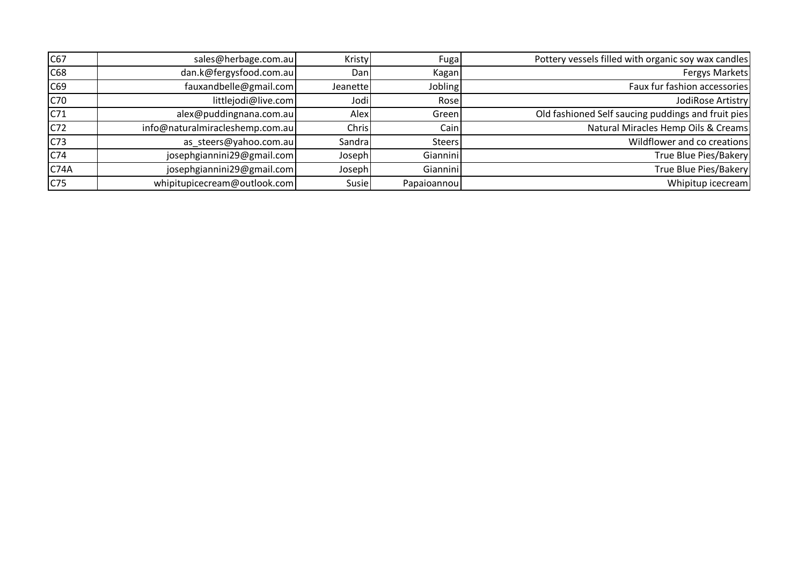| C67              | sales@herbage.com.au            | Kristy   | Fuga        | Pottery vessels filled with organic soy wax candles |
|------------------|---------------------------------|----------|-------------|-----------------------------------------------------|
| C68              | dan.k@fergysfood.com.au         | Dan      | Kagan       | Fergys Markets                                      |
| C69              | fauxandbelle@gmail.com          | Jeanette | Jobling     | Faux fur fashion accessories                        |
| C70              | littlejodi@live.com             | Jodi     | Rosel       | JodiRose Artistry                                   |
| C71              | alex@puddingnana.com.au         | Alex     | Green       | Old fashioned Self saucing puddings and fruit pies  |
| C72              | info@naturalmiracleshemp.com.au | Chris    | Cain        | Natural Miracles Hemp Oils & Creams                 |
| C <sub>73</sub>  | as_steers@yahoo.com.au          | Sandra   | Steers      | Wildflower and co creations                         |
| C74              | josephgiannini29@gmail.com      | Joseph   | Giannini    | True Blue Pies/Bakery                               |
| C <sub>74A</sub> | josephgiannini29@gmail.com      | Joseph   | Giannini    | True Blue Pies/Bakery                               |
| C75              | whipitupicecream@outlook.com    | Susie    | Papaioannou | Whipitup icecream                                   |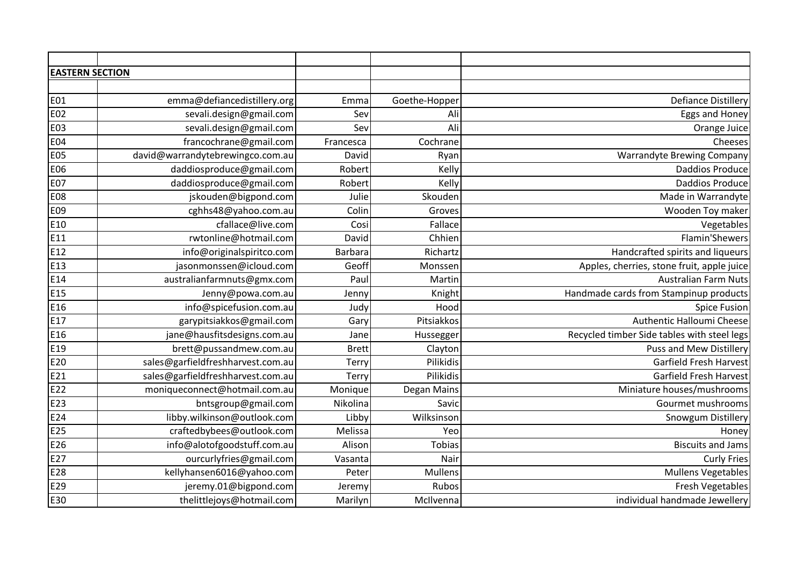| <b>EASTERN SECTION</b> |                                   |              |               |                                             |
|------------------------|-----------------------------------|--------------|---------------|---------------------------------------------|
|                        |                                   |              |               |                                             |
| <b>E01</b>             | emma@defiancedistillery.org       | Emma         | Goethe-Hopper | <b>Defiance Distillery</b>                  |
| E02                    | sevali.design@gmail.com           | Sev          | Ali           | Eggs and Honey                              |
| <b>E03</b>             | sevali.design@gmail.com           | Sev          | Ali           | Orange Juice                                |
| <b>E04</b>             | francochrane@gmail.com            | Francesca    | Cochrane      | Cheeses                                     |
| <b>E05</b>             | david@warrandytebrewingco.com.au  | David        | Ryan          | <b>Warrandyte Brewing Company</b>           |
| E06                    | daddiosproduce@gmail.com          | Robert       | Kelly         | <b>Daddios Produce</b>                      |
| <b>E07</b>             | daddiosproduce@gmail.com          | Robert       | Kelly         | <b>Daddios Produce</b>                      |
| <b>E08</b>             | jskouden@bigpond.com              | Julie        | Skouden       | Made in Warrandyte                          |
| E09                    | cghhs48@yahoo.com.au              | Colin        | Groves        | Wooden Toy maker                            |
| E10                    | cfallace@live.com                 | Cosi         | Fallace       | Vegetables                                  |
| E11                    | rwtonline@hotmail.com             | David        | Chhien        | Flamin'Shewers                              |
| E12                    | info@originalspiritco.com         | Barbara      | Richartz      | Handcrafted spirits and liqueurs            |
| E <sub>13</sub>        | jasonmonssen@icloud.com           | Geoff        | Monssen       | Apples, cherries, stone fruit, apple juice  |
| E14                    | australianfarmnuts@gmx.com        | Paul         | Martin        | <b>Australian Farm Nuts</b>                 |
| E15                    | Jenny@powa.com.au                 | Jenny        | Knight        | Handmade cards from Stampinup products      |
| E16                    | info@spicefusion.com.au           | Judy         | Hood          | <b>Spice Fusion</b>                         |
| E17                    | garypitsiakkos@gmail.com          | Gary         | Pitsiakkos    | Authentic Halloumi Cheese                   |
| E16                    | jane@hausfitsdesigns.com.au       | Jane         | Hussegger     | Recycled timber Side tables with steel legs |
| E19                    | brett@pussandmew.com.au           | <b>Brett</b> | Clayton       | <b>Puss and Mew Distillery</b>              |
| E20                    | sales@garfieldfreshharvest.com.au | Terry        | Pilikidis     | <b>Garfield Fresh Harvest</b>               |
| E21                    | sales@garfieldfreshharvest.com.au | Terry        | Pilikidis     | <b>Garfield Fresh Harvest</b>               |
| E22                    | moniqueconnect@hotmail.com.au     | Monique      | Degan Mains   | Miniature houses/mushrooms                  |
| E23                    | bntsgroup@gmail.com               | Nikolina     | Savic         | Gourmet mushrooms                           |
| E24                    | libby.wilkinson@outlook.com       | Libby        | Wilksinson    | Snowgum Distillery                          |
| E25                    | craftedbybees@outlook.com         | Melissa      | Yeo           | Honey                                       |
| E26                    | info@alotofgoodstuff.com.au       | Alison       | Tobias        | <b>Biscuits and Jams</b>                    |
| E27                    | ourcurlyfries@gmail.com           | Vasanta      | Nair          | <b>Curly Fries</b>                          |
| E28                    | kellyhansen6016@yahoo.com         | Peter        | Mullens       | <b>Mullens Vegetables</b>                   |
| E29                    | jeremy.01@bigpond.com             | Jeremy       | Rubos         | <b>Fresh Vegetables</b>                     |
| E30                    | thelittlejoys@hotmail.com         | Marilyn      | McIlvenna     | individual handmade Jewellery               |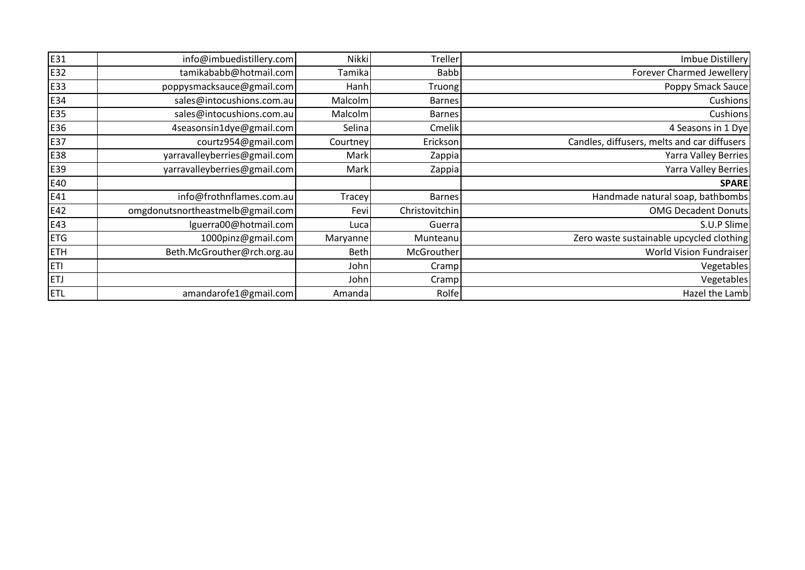| E31        | info@imbuedistillery.com         | Nikki       | Treller        | Imbue Distillery                            |
|------------|----------------------------------|-------------|----------------|---------------------------------------------|
| E32        | tamikababb@hotmail.com           | Tamika      | <b>Babb</b>    | Forever Charmed Jewellery                   |
| E33        | poppysmacksauce@gmail.com        | Hanh        | Truong         | Poppy Smack Sauce                           |
| E34        | sales@intocushions.com.au        | Malcolm     | <b>Barnes</b>  | Cushions                                    |
| E35        | sales@intocushions.com.au        | Malcolm     | <b>Barnes</b>  | Cushions                                    |
| E36        | 4seasonsin1dye@gmail.com         | Selina      | Cmelik         | 4 Seasons in 1 Dye                          |
| E37        | courtz954@gmail.com              | Courtney    | Erickson       | Candles, diffusers, melts and car diffusers |
| E38        | yarravalleyberries@gmail.com     | Mark        | Zappia         | Yarra Valley Berries                        |
| E39        | yarravalleyberries@gmail.com     | Mark        | Zappia         | Yarra Valley Berries                        |
| E40        |                                  |             |                | <b>SPARE</b>                                |
| E41        | info@frothnflames.com.au         | Tracey      | <b>Barnes</b>  | Handmade natural soap, bathbombs            |
| E42        | omgdonutsnortheastmelb@gmail.com | Fevi        | Christovitchin | <b>OMG Decadent Donuts</b>                  |
| E43        | lguerra00@hotmail.com            | Luca        | Guerra         | S.U.P Slime                                 |
| <b>ETG</b> | 1000pinz@gmail.com               | Maryanne    | Munteanu       | Zero waste sustainable upcycled clothing    |
| <b>ETH</b> | Beth.McGrouther@rch.org.au       | <b>Beth</b> | McGrouther     | World Vision Fundraiser                     |
| <b>ETI</b> |                                  | John        | Crampl         | Vegetables                                  |
| <b>ETJ</b> |                                  | John        | Crampl         | Vegetables                                  |
| ETL        | amandarofe1@gmail.com            | Amanda      | Rolfe          | Hazel the Lamb                              |